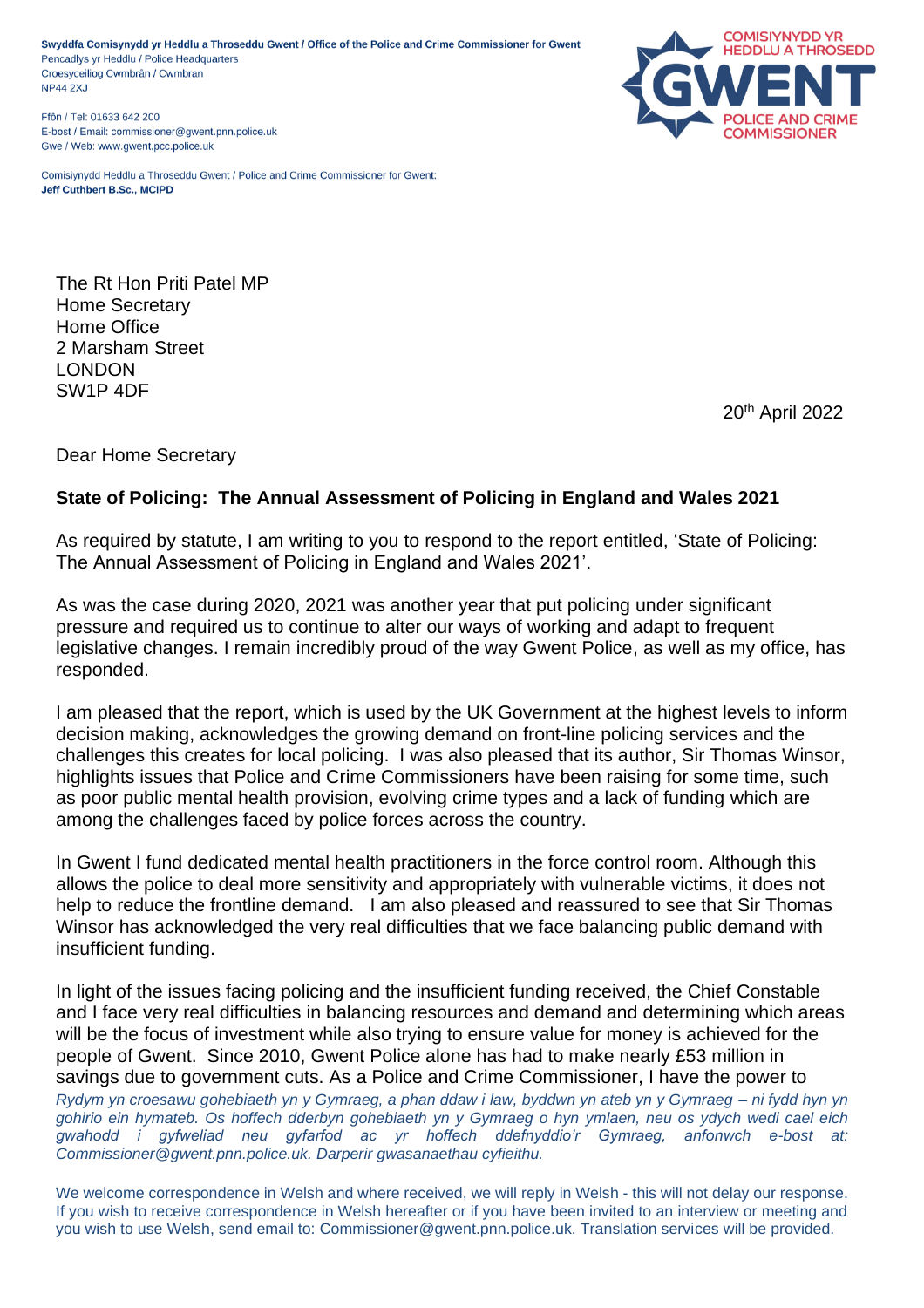Swyddfa Comisynydd yr Heddlu a Throseddu Gwent / Office of the Police and Crime Commissioner for Gwent Pencadlys yr Heddlu / Police Headquarters Croesyceiliog Cwmbrân / Cwmbran **NP44 2XJ** 

Ffôn / Tel: 01633 642 200 E-bost / Email: commissioner@gwent.pnn.police.uk Gwe / Web: www.gwent.pcc.police.uk

**COMISIYNYDD YR HEDDLU A THROSEDD** COMMISSIONER

Comisiynydd Heddlu a Throseddu Gwent / Police and Crime Commissioner for Gwent: Jeff Cuthbert B.Sc., MCIPD

The Rt Hon Priti Patel MP Home Secretary Home Office 2 Marsham Street LONDON SW1P 4DF

20th April 2022

Dear Home Secretary

## **State of Policing: The Annual Assessment of Policing in England and Wales 2021**

As required by statute, I am writing to you to respond to the report entitled, 'State of Policing: The Annual Assessment of Policing in England and Wales 2021'.

As was the case during 2020, 2021 was another year that put policing under significant pressure and required us to continue to alter our ways of working and adapt to frequent legislative changes. I remain incredibly proud of the way Gwent Police, as well as my office, has responded.

I am pleased that the report, which is used by the UK Government at the highest levels to inform decision making, acknowledges the growing demand on front-line policing services and the challenges this creates for local policing. I was also pleased that its author, Sir Thomas Winsor, highlights issues that Police and Crime Commissioners have been raising for some time, such as poor public mental health provision, evolving crime types and a lack of funding which are among the challenges faced by police forces across the country.

In Gwent I fund dedicated mental health practitioners in the force control room. Although this allows the police to deal more sensitivity and appropriately with vulnerable victims, it does not help to reduce the frontline demand. I am also pleased and reassured to see that Sir Thomas Winsor has acknowledged the very real difficulties that we face balancing public demand with insufficient funding.

*Rydym yn croesawu gohebiaeth yn y Gymraeg, a phan ddaw i law, byddwn yn ateb yn y Gymraeg – ni fydd hyn yn gohirio ein hymateb. Os hoffech dderbyn gohebiaeth yn y Gymraeg o hyn ymlaen, neu os ydych wedi cael eich gwahodd i gyfweliad neu gyfarfod ac yr hoffech ddefnyddio'r Gymraeg, anfonwch e-bost at: Commissioner@gwent.pnn.police.uk. Darperir gwasanaethau cyfieithu.* In light of the issues facing policing and the insufficient funding received, the Chief Constable and I face very real difficulties in balancing resources and demand and determining which areas will be the focus of investment while also trying to ensure value for money is achieved for the people of Gwent. Since 2010, Gwent Police alone has had to make nearly £53 million in savings due to government cuts. As a Police and Crime Commissioner, I have the power to

We welcome correspondence in Welsh and where received, we will reply in Welsh - this will not delay our response. If you wish to receive correspondence in Welsh hereafter or if you have been invited to an interview or meeting and you wish to use Welsh, send email to: Commissioner@gwent.pnn.police.uk. Translation services will be provided.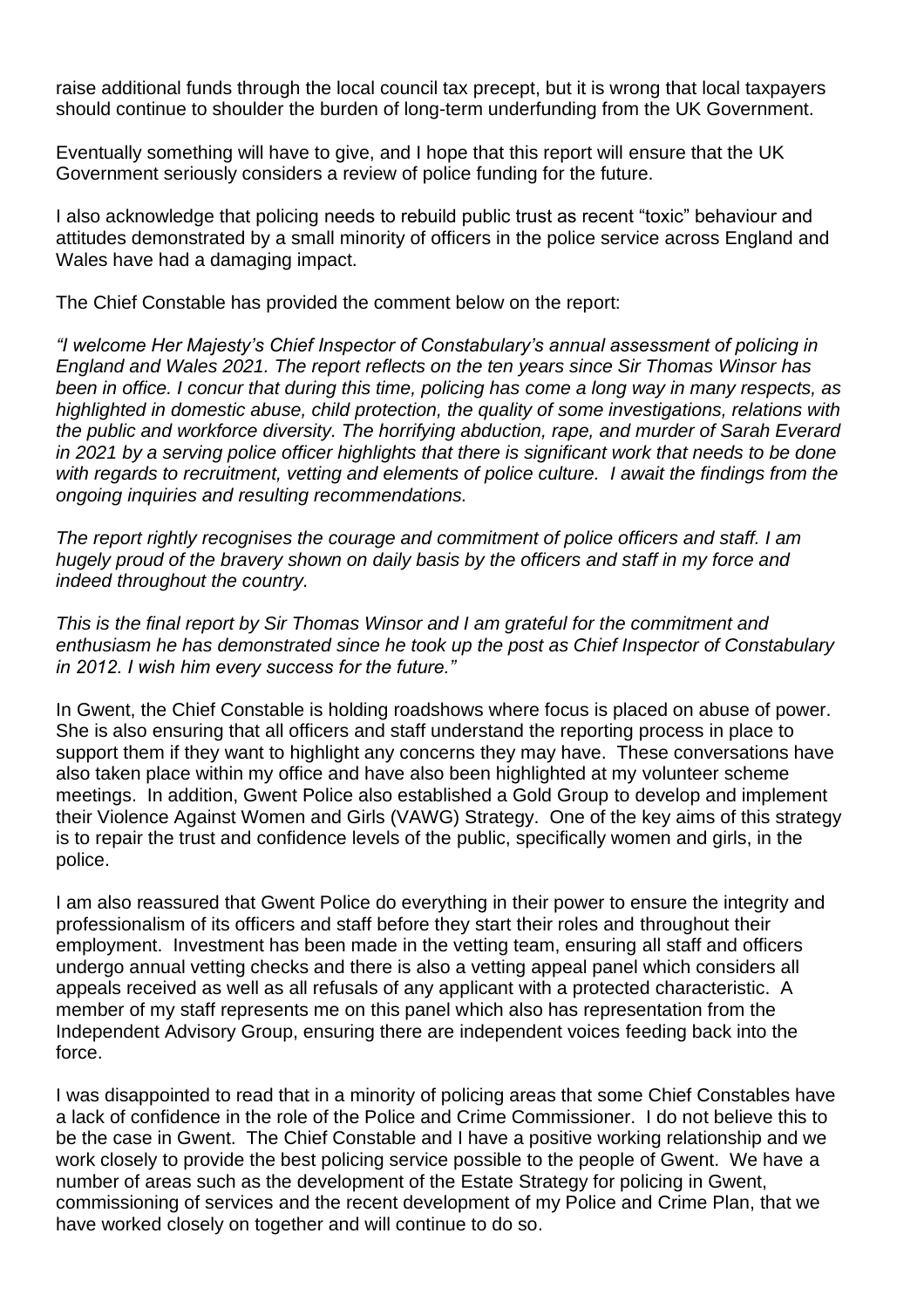raise additional funds through the local council tax precept, but it is wrong that local taxpayers should continue to shoulder the burden of long-term underfunding from the UK Government.

Eventually something will have to give, and I hope that this report will ensure that the UK Government seriously considers a review of police funding for the future.

I also acknowledge that policing needs to rebuild public trust as recent "toxic" behaviour and attitudes demonstrated by a small minority of officers in the police service across England and Wales have had a damaging impact.

The Chief Constable has provided the comment below on the report:

*"I welcome Her Majesty's Chief Inspector of Constabulary's annual assessment of policing in England and Wales 2021. The report reflects on the ten years since Sir Thomas Winsor has been in office. I concur that during this time, policing has come a long way in many respects, as highlighted in domestic abuse, child protection, the quality of some investigations, relations with the public and workforce diversity. The horrifying abduction, rape, and murder of Sarah Everard in 2021 by a serving police officer highlights that there is significant work that needs to be done with regards to recruitment, vetting and elements of police culture. I await the findings from the ongoing inquiries and resulting recommendations.* 

*The report rightly recognises the courage and commitment of police officers and staff. I am hugely proud of the bravery shown on daily basis by the officers and staff in my force and indeed throughout the country.*

*This is the final report by Sir Thomas Winsor and I am grateful for the commitment and enthusiasm he has demonstrated since he took up the post as Chief Inspector of Constabulary in 2012. I wish him every success for the future."*

In Gwent, the Chief Constable is holding roadshows where focus is placed on abuse of power. She is also ensuring that all officers and staff understand the reporting process in place to support them if they want to highlight any concerns they may have. These conversations have also taken place within my office and have also been highlighted at my volunteer scheme meetings. In addition, Gwent Police also established a Gold Group to develop and implement their Violence Against Women and Girls (VAWG) Strategy. One of the key aims of this strategy is to repair the trust and confidence levels of the public, specifically women and girls, in the police.

I am also reassured that Gwent Police do everything in their power to ensure the integrity and professionalism of its officers and staff before they start their roles and throughout their employment. Investment has been made in the vetting team, ensuring all staff and officers undergo annual vetting checks and there is also a vetting appeal panel which considers all appeals received as well as all refusals of any applicant with a protected characteristic. A member of my staff represents me on this panel which also has representation from the Independent Advisory Group, ensuring there are independent voices feeding back into the force.

I was disappointed to read that in a minority of policing areas that some Chief Constables have a lack of confidence in the role of the Police and Crime Commissioner. I do not believe this to be the case in Gwent. The Chief Constable and I have a positive working relationship and we work closely to provide the best policing service possible to the people of Gwent. We have a number of areas such as the development of the Estate Strategy for policing in Gwent, commissioning of services and the recent development of my Police and Crime Plan, that we have worked closely on together and will continue to do so.